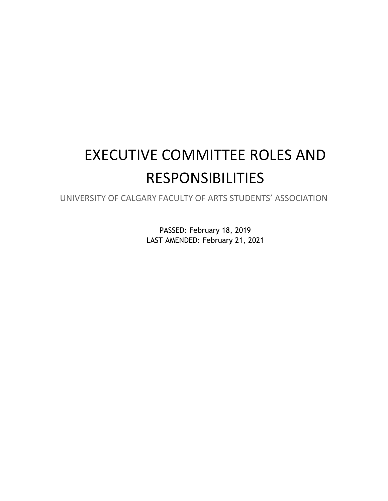# EXECUTIVE COMMITTEE ROLES AND RESPONSIBILITIES

UNIVERSITY OF CALGARY FACULTY OF ARTS STUDENTS' ASSOCIATION

PASSED: February 18, 2019 LAST AMENDED: February 21, 2021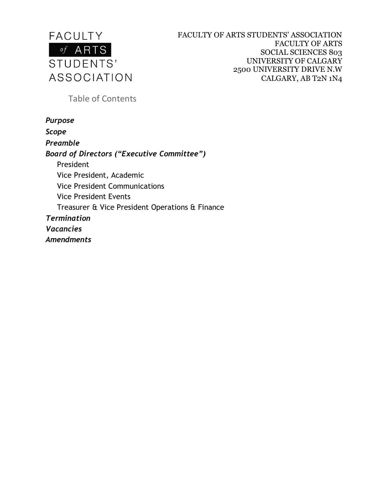

Table of Contents

*Purpose Scope Preamble Board of Directors ("Executive Committee")* President Vice President, Academic Vice President Communications Vice President Events Treasurer & Vice President Operations & Finance *Termination Vacancies Amendments*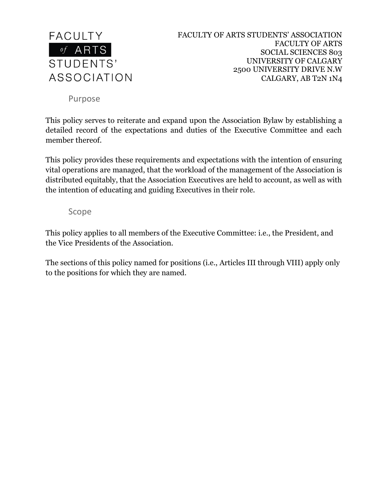

Purpose

This policy serves to reiterate and expand upon the Association Bylaw by establishing a detailed record of the expectations and duties of the Executive Committee and each member thereof.

This policy provides these requirements and expectations with the intention of ensuring vital operations are managed, that the workload of the management of the Association is distributed equitably, that the Association Executives are held to account, as well as with the intention of educating and guiding Executives in their role.

Scope

This policy applies to all members of the Executive Committee: i.e., the President, and the Vice Presidents of the Association.

The sections of this policy named for positions (i.e., Articles III through VIII) apply only to the positions for which they are named.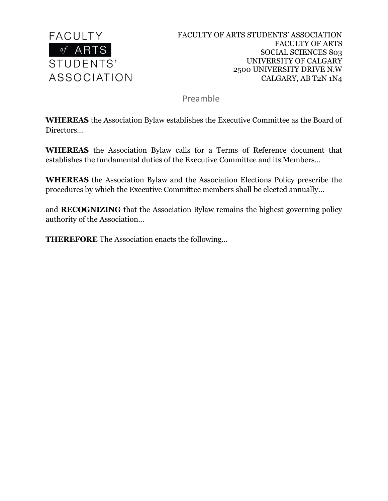

Preamble

**WHEREAS** the Association Bylaw establishes the Executive Committee as the Board of Directors…

**WHEREAS** the Association Bylaw calls for a Terms of Reference document that establishes the fundamental duties of the Executive Committee and its Members…

**WHEREAS** the Association Bylaw and the Association Elections Policy prescribe the procedures by which the Executive Committee members shall be elected annually...

and **RECOGNIZING** that the Association Bylaw remains the highest governing policy authority of the Association…

**THEREFORE** The Association enacts the following…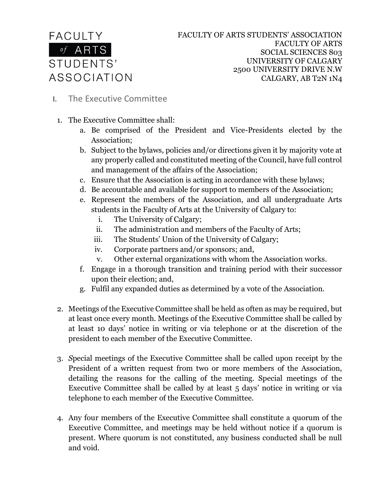# **FACULTY**  $\overline{of}$  ARTS STUDENTS' ASSOCIATION

- **I.** The Executive Committee
	- 1. The Executive Committee shall:
		- a. Be comprised of the President and Vice-Presidents elected by the Association;
		- b. Subject to the bylaws, policies and/or directions given it by majority vote at any properly called and constituted meeting of the Council, have full control and management of the affairs of the Association;
		- c. Ensure that the Association is acting in accordance with these bylaws;
		- d. Be accountable and available for support to members of the Association;
		- e. Represent the members of the Association, and all undergraduate Arts students in the Faculty of Arts at the University of Calgary to:
			- i. The University of Calgary;
			- ii. The administration and members of the Faculty of Arts;
			- iii. The Students' Union of the University of Calgary;
			- iv. Corporate partners and/or sponsors; and,
			- v. Other external organizations with whom the Association works.
		- f. Engage in a thorough transition and training period with their successor upon their election; and,
		- g. Fulfil any expanded duties as determined by a vote of the Association.
	- 2. Meetings of the Executive Committee shall be held as often as may be required, but at least once every month. Meetings of the Executive Committee shall be called by at least 10 days' notice in writing or via telephone or at the discretion of the president to each member of the Executive Committee.
	- 3. *S*pecial meetings of the Executive Committee shall be called upon receipt by the President of a written request from two or more members of the Association, detailing the reasons for the calling of the meeting. Special meetings of the Executive Committee shall be called by at least 5 days' notice in writing or via telephone to each member of the Executive Committee.
	- 4. Any four members of the Executive Committee shall constitute a quorum of the Executive Committee, and meetings may be held without notice if a quorum is present. Where quorum is not constituted, any business conducted shall be null and void.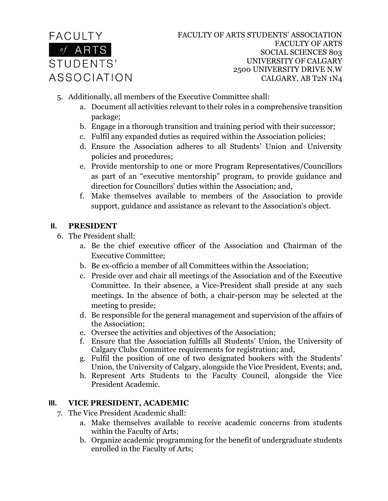

- 5. Additionally, all members of the Executive Committee shall:
	- a. Document all activities relevant to their roles in a comprehensive transition package;
	- b. Engage in a thorough transition and training period with their successor;
	- c. Fulfil any expanded duties as required within the Association policies;
	- d. Ensure the Association adheres to all Students' Union and University policies and procedures;
	- e. Provide mentorship to one or more Program Representatives/Councillors as part of an "executive mentorship" program, to provide guidance and direction for Councillors' duties within the Association; and,
	- f. Make themselves available to members of the Association to provide support, guidance and assistance as relevant to the Association's object.

#### **II. PRESIDENT**

- 6. The President shall:
	- a. Be the chief executive officer of the Association and Chairman of the Executive Committee;
	- b. Be ex-officio a member of all Committees within the Association;
	- c. Preside over and chair all meetings of the Association and of the Executive Committee. In their absence, a Vice-President shall preside at any such meetings. In the absence of both, a chair-person may be selected at the meeting to preside;
	- d. Be responsible for the general management and supervision of the affairs of the Association;
	- e. Oversee the activities and objectives of the Association;
	- f. Ensure that the Association fulfills all Students' Union, the University of Calgary Clubs Committee requirements for registration; and,
	- g. Fulfil the position of one of two designated bookers with the Students' Union, the University of Calgary, alongside the Vice President, Events; and,
	- h. Represent Arts Students to the Faculty Council, alongside the Vice President Academic.

# **III. VICE PRESIDENT, ACADEMIC**

- 7. The Vice President Academic shall:
	- a. Make themselves available to receive academic concerns from students within the Faculty of Arts;
	- b. Organize academic programming for the benefit of undergraduate students enrolled in the Faculty of Arts;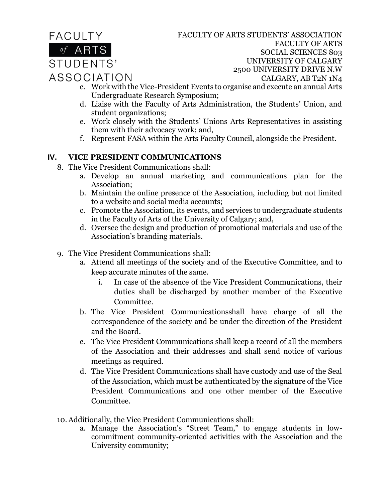**FACULTY**  $\overline{of}$  ARTS STUDENTS' **ASSOCIATION**  FACULTY OF ARTS STUDENTS' ASSOCIATION FACULTY OF ARTS SOCIAL SCIENCES 803 UNIVERSITY OF CALGARY 2500 UNIVERSITY DRIVE N.W CALGARY, AB T2N 1N4

- c. Work with the Vice-President Events to organise and execute an annual Arts Undergraduate Research Symposium;
- d. Liaise with the Faculty of Arts Administration, the Students' Union, and student organizations;
- e. Work closely with the Students' Unions Arts Representatives in assisting them with their advocacy work; and,
- f. Represent FASA within the Arts Faculty Council, alongside the President.

#### **IV. VICE PRESIDENT COMMUNICATIONS**

- 8. The Vice President Communications shall:
	- a. Develop an annual marketing and communications plan for the Association;
	- b. Maintain the online presence of the Association, including but not limited to a website and social media accounts;
	- c. Promote the Association, its events, and services to undergraduate students in the Faculty of Arts of the University of Calgary; and,
	- d. Oversee the design and production of promotional materials and use of the Association's branding materials.
- 9. The Vice President Communications shall:
	- a. Attend all meetings of the society and of the Executive Committee, and to keep accurate minutes of the same.
		- i. In case of the absence of the Vice President Communications, their duties shall be discharged by another member of the Executive Committee.
	- b. The Vice President Communicationsshall have charge of all the correspondence of the society and be under the direction of the President and the Board.
	- c. The Vice President Communications shall keep a record of all the members of the Association and their addresses and shall send notice of various meetings as required.
	- d. The Vice President Communications shall have custody and use of the Seal of the Association, which must be authenticated by the signature of the Vice President Communications and one other member of the Executive Committee.
- 10. Additionally, the Vice President Communications shall:
	- a. Manage the Association's "Street Team," to engage students in lowcommitment community-oriented activities with the Association and the University community;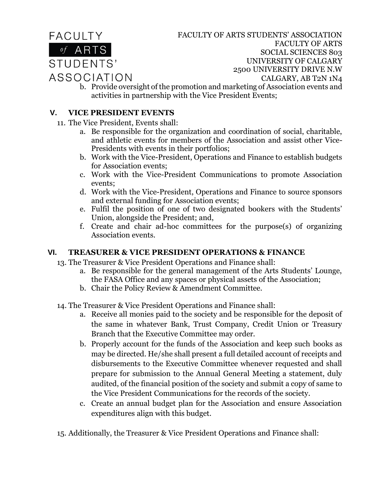

FACULTY OF ARTS STUDENTS' ASSOCIATION FACULTY OF ARTS SOCIAL SCIENCES 803 UNIVERSITY OF CALGARY 2500 UNIVERSITY DRIVE N.W CALGARY, AB T2N 1N4

b. Provide oversight of the promotion and marketing of Association events and activities in partnership with the Vice President Events;

#### **V. VICE PRESIDENT EVENTS**

- 11. The Vice President, Events shall:
	- a. Be responsible for the organization and coordination of social, charitable, and athletic events for members of the Association and assist other Vice-Presidents with events in their portfolios;
	- b. Work with the Vice-President, Operations and Finance to establish budgets for Association events;
	- c. Work with the Vice-President Communications to promote Association events;
	- d. Work with the Vice-President, Operations and Finance to source sponsors and external funding for Association events;
	- e. Fulfil the position of one of two designated bookers with the Students' Union, alongside the President; and,
	- f. Create and chair ad-hoc committees for the purpose(s) of organizing Association events.

# **VI. TREASURER & VICE PRESIDENT OPERATIONS & FINANCE**

- 13. The Treasurer & Vice President Operations and Finance shall:
	- a. Be responsible for the general management of the Arts Students' Lounge, the FASA Office and any spaces or physical assets of the Association;
	- b. Chair the Policy Review & Amendment Committee.
- 14. The Treasurer & Vice President Operations and Finance shall:
	- a. Receive all monies paid to the society and be responsible for the deposit of the same in whatever Bank, Trust Company, Credit Union or Treasury Branch that the Executive Committee may order.
	- b. Properly account for the funds of the Association and keep such books as may be directed. He/she shall present a full detailed account of receipts and disbursements to the Executive Committee whenever requested and shall prepare for submission to the Annual General Meeting a statement, duly audited, of the financial position of the society and submit a copy of same to the Vice President Communications for the records of the society.
	- c. Create an annual budget plan for the Association and ensure Association expenditures align with this budget.
- 15. Additionally, the Treasurer & Vice President Operations and Finance shall: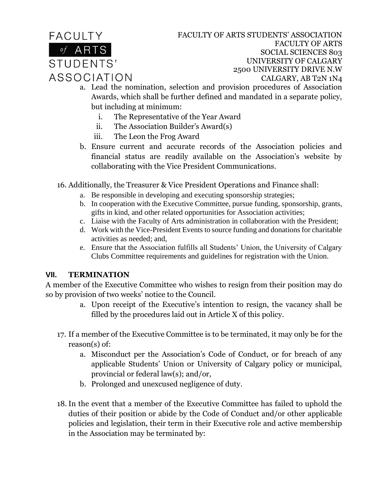**FACULTY** of ARTS STUDENTS' ASSOCIATION FACULTY OF ARTS STUDENTS' ASSOCIATION FACULTY OF ARTS SOCIAL SCIENCES 803 UNIVERSITY OF CALGARY 2500 UNIVERSITY DRIVE N.W CALGARY, AB T2N 1N4

- a. Lead the nomination, selection and provision procedures of Association Awards, which shall be further defined and mandated in a separate policy, but including at minimum:
	- i. The Representative of the Year Award
	- ii. The Association Builder's Award(s)
	- iii. The Leon the Frog Award
- b. Ensure current and accurate records of the Association policies and financial status are readily available on the Association's website by collaborating with the Vice President Communications.
- 16. Additionally, the Treasurer & Vice President Operations and Finance shall:
	- a. Be responsible in developing and executing sponsorship strategies;
	- b. In cooperation with the Executive Committee, pursue funding, sponsorship, grants, gifts in kind, and other related opportunities for Association activities;
	- c. Liaise with the Faculty of Arts administration in collaboration with the President;
	- d. Work with the Vice-President Events to source funding and donations for charitable activities as needed; and,
	- e. Ensure that the Association fulfills all Students' Union, the University of Calgary Clubs Committee requirements and guidelines for registration with the Union.

# **VII. TERMINATION**

A member of the Executive Committee who wishes to resign from their position may do so by provision of two weeks' notice to the Council.

- a. Upon receipt of the Executive's intention to resign, the vacancy shall be filled by the procedures laid out in Article X of this policy.
- 17. If a member of the Executive Committee is to be terminated, it may only be for the reason(s) of:
	- a. Misconduct per the Association's Code of Conduct, or for breach of any applicable Students' Union or University of Calgary policy or municipal, provincial or federal law(s); and/or,
	- b. Prolonged and unexcused negligence of duty.
- 18.In the event that a member of the Executive Committee has failed to uphold the duties of their position or abide by the Code of Conduct and/or other applicable policies and legislation, their term in their Executive role and active membership in the Association may be terminated by: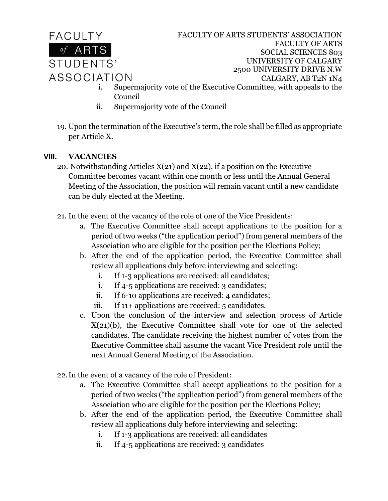

FACULTY OF ARTS STUDENTS' ASSOCIATION FACULTY OF ARTS SOCIAL SCIENCES 803 UNIVERSITY OF CALGARY 2500 UNIVERSITY DRIVE N.W CALGARY, AB T2N 1N4

- i. Supermajority vote of the Executive Committee, with appeals to the Council
- ii. Supermajority vote of the Council
- 19. Upon the termination of the Executive's term, the role shall be filled as appropriate per Article X.

# **VIII. VACANCIES**

- 20. Notwithstanding Articles  $X(21)$  and  $X(22)$ , if a position on the Executive Committee becomes vacant within one month or less until the Annual General Meeting of the Association, the position will remain vacant until a new candidate can be duly elected at the Meeting.
- 21. In the event of the vacancy of the role of one of the Vice Presidents:
	- a. The Executive Committee shall accept applications to the position for a period of two weeks ("the application period") from general members of the Association who are eligible for the position per the Elections Policy;
	- b. After the end of the application period, the Executive Committee shall review all applications duly before interviewing and selecting:
		- i. If 1-3 applications are received: all candidates;
		- i. If 4-5 applications are received: 3 candidates;
		- ii. If 6-10 applications are received: 4 candidates;
		- iii. If 11+ applications are received: 5 candidates.
	- c. Upon the conclusion of the interview and selection process of Article X(21)(b), the Executive Committee shall vote for one of the selected candidates. The candidate receiving the highest number of votes from the Executive Committee shall assume the vacant Vice President role until the next Annual General Meeting of the Association.
- 22.In the event of a vacancy of the role of President:
	- a. The Executive Committee shall accept applications to the position for a period of two weeks ("the application period") from general members of the Association who are eligible for the position per the Elections Policy;
	- b. After the end of the application period, the Executive Committee shall review all applications duly before interviewing and selecting:
		- i. If 1-3 applications are received: all candidates
		- ii. If 4-5 applications are received: 3 candidates